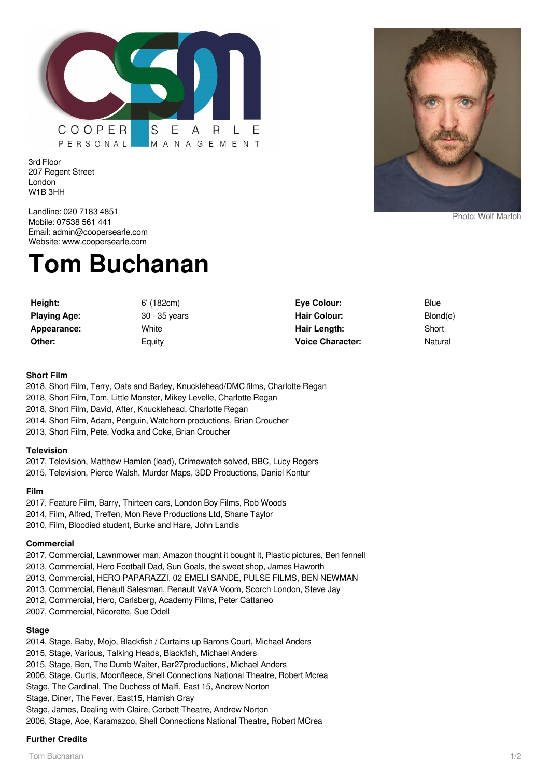

3rd Floor 207 Regent Street London W1B 3HH

Landline: 020 7183 4851 Mobile: 07538 561 441 Email: admin@coopersearle.com Website: www.coopersearle.com

# **Tom Buchanan**

**Height:** 6' (182cm) **Playing Age:** 30 - 35 years **Appearance:** White **Other:** Equity

**Eye Colour:** Blue Hair Colour: Blond(e) **Hair Length:** Short **Voice Character:** Natural

#### **Short Film**

- 2018, Short Film, Terry, Oats and Barley, Knucklehead/DMC films, Charlotte Regan 2018, Short Film, Tom, Little Monster, Mikey Levelle, Charlotte Regan 2018, Short Film, David, After, Knucklehead, Charlotte Regan 2014, Short Film, Adam, Penguin, Watchorn productions, Brian Croucher
- 2013, Short Film, Pete, Vodka and Coke, Brian Croucher

#### **Television**

2017, Television, Matthew Hamlen (lead), Crimewatch solved, BBC, Lucy Rogers 2015, Television, Pierce Walsh, Murder Maps, 3DD Productions, Daniel Kontur

### **Film**

2017, Feature Film, Barry, Thirteen cars, London Boy Films, Rob Woods 2014, Film, Alfred, Treffen, Mon Reve Productions Ltd, Shane Taylor 2010, Film, Bloodied student, Burke and Hare, John Landis

# **Commercial**

2017, Commercial, Lawnmower man, Amazon thought it bought it, Plastic pictures, Ben fennell

2013, Commercial, Hero Football Dad, Sun Goals, the sweet shop, James Haworth

- 2013, Commercial, HERO PAPARAZZI, 02 EMELI SANDE, PULSE FILMS, BEN NEWMAN
- 2013, Commercial, Renault Salesman, Renault VaVA Voom, Scorch London, Steve Jay
- 2012, Commercial, Hero, Carlsberg, Academy Films, Peter Cattaneo
- 2007, Commercial, Nicorette, Sue Odell

# **Stage**

2014, Stage, Baby, Mojo, Blackfish / Curtains up Barons Court, Michael Anders 2015, Stage, Various, Talking Heads, Blackfish, Michael Anders 2015, Stage, Ben, The Dumb Waiter, Bar27productions, Michael Anders 2006, Stage, Curtis, Moonfleece, Shell Connections National Theatre, Robert Mcrea Stage, The Cardinal, The Duchess of Malfi, East 15, Andrew Norton Stage, Diner, The Fever, East15, Hamish Gray Stage, James, Dealing with Claire, Corbett Theatre, Andrew Norton 2006, Stage, Ace, Karamazoo, Shell Connections National Theatre, Robert MCrea

# **Further Credits**